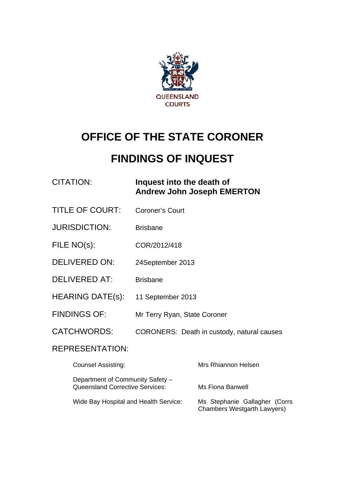

# **OFFICE OF THE STATE CORONER**

# **FINDINGS OF INQUEST**

## CITATION: **Inquest into the death of Andrew John Joseph EMERTON**

- TITLE OF COURT: Coroner's Court
- JURISDICTION: Brisbane
- FILE NO(s): COR/2012/418
- DELIVERED ON: 24September 2013
- DELIVERED AT: Brisbane
- HEARING DATE(s): 11 September 2013
- FINDINGS OF: Mr Terry Ryan, State Coroner
- CATCHWORDS: CORONERS: Death in custody, natural causes

#### REPRESENTATION:

| <b>Counsel Assisting:</b>                                                  | Mrs Rhiannon Helsen                                                 |
|----------------------------------------------------------------------------|---------------------------------------------------------------------|
| Department of Community Safety -<br><b>Queensland Corrective Services:</b> | Ms Fiona Banwell                                                    |
| Wide Bay Hospital and Health Service:                                      | Ms Stephanie Gallagher (Corrs<br><b>Chambers Westgarth Lawyers)</b> |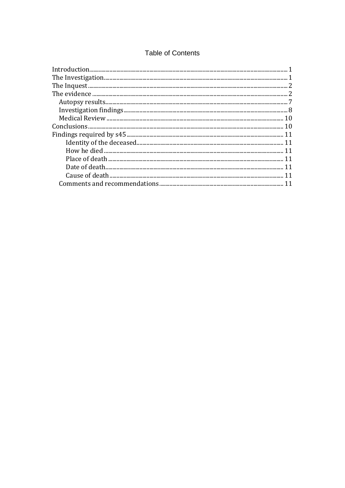#### **Table of Contents**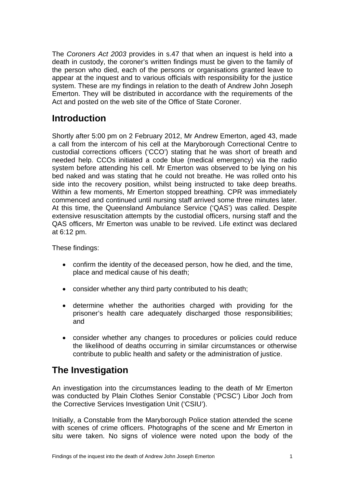The *Coroners Act 2003* provides in s.47 that when an inquest is held into a death in custody, the coroner's written findings must be given to the family of the person who died, each of the persons or organisations granted leave to appear at the inquest and to various officials with responsibility for the justice system. These are my findings in relation to the death of Andrew John Joseph Emerton. They will be distributed in accordance with the requirements of the Act and posted on the web site of the Office of State Coroner.

## <span id="page-2-0"></span>**Introduction**

Shortly after 5:00 pm on 2 February 2012, Mr Andrew Emerton, aged 43, made a call from the intercom of his cell at the Maryborough Correctional Centre to custodial corrections officers ('CCO') stating that he was short of breath and needed help. CCOs initiated a code blue (medical emergency) via the radio system before attending his cell. Mr Emerton was observed to be lying on his bed naked and was stating that he could not breathe. He was rolled onto his side into the recovery position, whilst being instructed to take deep breaths. Within a few moments, Mr Emerton stopped breathing. CPR was immediately commenced and continued until nursing staff arrived some three minutes later. At this time, the Queensland Ambulance Service ('QAS') was called. Despite extensive resuscitation attempts by the custodial officers, nursing staff and the QAS officers, Mr Emerton was unable to be revived. Life extinct was declared at 6:12 pm.

These findings:

- confirm the identity of the deceased person, how he died, and the time, place and medical cause of his death;
- consider whether any third party contributed to his death;
- determine whether the authorities charged with providing for the prisoner's health care adequately discharged those responsibilities; and
- consider whether any changes to procedures or policies could reduce the likelihood of deaths occurring in similar circumstances or otherwise contribute to public health and safety or the administration of justice.

## <span id="page-2-1"></span>**The Investigation**

An investigation into the circumstances leading to the death of Mr Emerton was conducted by Plain Clothes Senior Constable ('PCSC') Libor Joch from the Corrective Services Investigation Unit ('CSIU').

Initially, a Constable from the Maryborough Police station attended the scene with scenes of crime officers. Photographs of the scene and Mr Emerton in situ were taken. No signs of violence were noted upon the body of the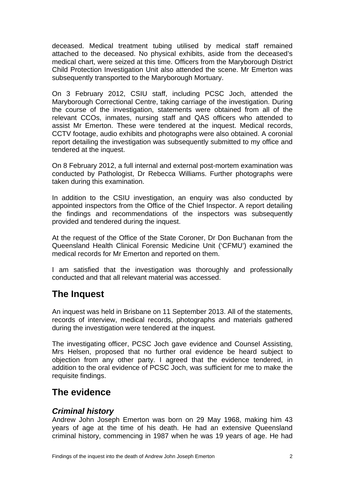deceased. Medical treatment tubing utilised by medical staff remained attached to the deceased. No physical exhibits, aside from the deceased's medical chart, were seized at this time. Officers from the Maryborough District Child Protection Investigation Unit also attended the scene. Mr Emerton was subsequently transported to the Maryborough Mortuary.

On 3 February 2012, CSIU staff, including PCSC Joch, attended the Maryborough Correctional Centre, taking carriage of the investigation. During the course of the investigation, statements were obtained from all of the relevant CCOs, inmates, nursing staff and QAS officers who attended to assist Mr Emerton. These were tendered at the inquest. Medical records, CCTV footage, audio exhibits and photographs were also obtained. A coronial report detailing the investigation was subsequently submitted to my office and tendered at the inquest.

On 8 February 2012, a full internal and external post-mortem examination was conducted by Pathologist, Dr Rebecca Williams. Further photographs were taken during this examination.

In addition to the CSIU investigation, an enquiry was also conducted by appointed inspectors from the Office of the Chief Inspector. A report detailing the findings and recommendations of the inspectors was subsequently provided and tendered during the inquest.

At the request of the Office of the State Coroner, Dr Don Buchanan from the Queensland Health Clinical Forensic Medicine Unit ('CFMU') examined the medical records for Mr Emerton and reported on them.

I am satisfied that the investigation was thoroughly and professionally conducted and that all relevant material was accessed.

## <span id="page-3-0"></span>**The Inquest**

An inquest was held in Brisbane on 11 September 2013. All of the statements, records of interview, medical records, photographs and materials gathered during the investigation were tendered at the inquest.

The investigating officer, PCSC Joch gave evidence and Counsel Assisting, Mrs Helsen, proposed that no further oral evidence be heard subject to objection from any other party. I agreed that the evidence tendered, in addition to the oral evidence of PCSC Joch, was sufficient for me to make the requisite findings.

## <span id="page-3-1"></span>**The evidence**

#### *Criminal history*

Andrew John Joseph Emerton was born on 29 May 1968, making him 43 years of age at the time of his death. He had an extensive Queensland criminal history, commencing in 1987 when he was 19 years of age. He had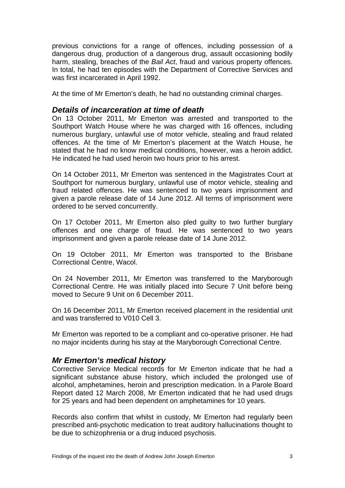previous convictions for a range of offences, including possession of a dangerous drug, production of a dangerous drug, assault occasioning bodily harm, stealing, breaches of the *Bail Act*, fraud and various property offences. In total, he had ten episodes with the Department of Corrective Services and was first incarcerated in April 1992.

At the time of Mr Emerton's death, he had no outstanding criminal charges.

#### *Details of incarceration at time of death*

On 13 October 2011, Mr Emerton was arrested and transported to the Southport Watch House where he was charged with 16 offences, including numerous burglary, unlawful use of motor vehicle, stealing and fraud related offences. At the time of Mr Emerton's placement at the Watch House, he stated that he had no know medical conditions, however, was a heroin addict. He indicated he had used heroin two hours prior to his arrest.

On 14 October 2011, Mr Emerton was sentenced in the Magistrates Court at Southport for numerous burglary, unlawful use of motor vehicle, stealing and fraud related offences. He was sentenced to two years imprisonment and given a parole release date of 14 June 2012. All terms of imprisonment were ordered to be served concurrently.

On 17 October 2011, Mr Emerton also pled guilty to two further burglary offences and one charge of fraud. He was sentenced to two years imprisonment and given a parole release date of 14 June 2012.

On 19 October 2011, Mr Emerton was transported to the Brisbane Correctional Centre, Wacol.

On 24 November 2011, Mr Emerton was transferred to the Maryborough Correctional Centre. He was initially placed into Secure 7 Unit before being moved to Secure 9 Unit on 6 December 2011.

On 16 December 2011, Mr Emerton received placement in the residential unit and was transferred to V010 Cell 3.

Mr Emerton was reported to be a compliant and co-operative prisoner. He had no major incidents during his stay at the Maryborough Correctional Centre.

#### *Mr Emerton's medical history*

Corrective Service Medical records for Mr Emerton indicate that he had a significant substance abuse history, which included the prolonged use of alcohol, amphetamines, heroin and prescription medication. In a Parole Board Report dated 12 March 2008, Mr Emerton indicated that he had used drugs for 25 years and had been dependent on amphetamines for 10 years.

Records also confirm that whilst in custody, Mr Emerton had regularly been prescribed anti-psychotic medication to treat auditory hallucinations thought to be due to schizophrenia or a drug induced psychosis.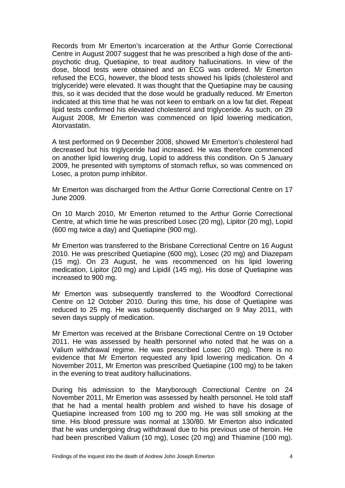Records from Mr Emerton's incarceration at the Arthur Gorrie Correctional Centre in August 2007 suggest that he was prescribed a high dose of the antipsychotic drug, Quetiapine, to treat auditory hallucinations. In view of the dose, blood tests were obtained and an ECG was ordered. Mr Emerton refused the ECG, however, the blood tests showed his lipids (cholesterol and triglyceride) were elevated. It was thought that the Quetiapine may be causing this, so it was decided that the dose would be gradually reduced. Mr Emerton indicated at this time that he was not keen to embark on a low fat diet. Repeat lipid tests confirmed his elevated cholesterol and triglyceride. As such, on 29 August 2008, Mr Emerton was commenced on lipid lowering medication, Atorvastatin.

A test performed on 9 December 2008, showed Mr Emerton's cholesterol had decreased but his triglyceride had increased. He was therefore commenced on another lipid lowering drug, Lopid to address this condition. On 5 January 2009, he presented with symptoms of stomach reflux, so was commenced on Losec, a proton pump inhibitor.

Mr Emerton was discharged from the Arthur Gorrie Correctional Centre on 17 June 2009.

On 10 March 2010, Mr Emerton returned to the Arthur Gorrie Correctional Centre, at which time he was prescribed Losec (20 mg), Lipitor (20 mg), Lopid (600 mg twice a day) and Quetiapine (900 mg).

Mr Emerton was transferred to the Brisbane Correctional Centre on 16 August 2010. He was prescribed Quetiapine (600 mg), Losec (20 mg) and Diazepam (15 mg). On 23 August, he was recommenced on his lipid lowering medication, Lipitor (20 mg) and Lipidil (145 mg). His dose of Quetiapine was increased to 900 mg.

Mr Emerton was subsequently transferred to the Woodford Correctional Centre on 12 October 2010. During this time, his dose of Quetiapine was reduced to 25 mg. He was subsequently discharged on 9 May 2011, with seven days supply of medication.

Mr Emerton was received at the Brisbane Correctional Centre on 19 October 2011. He was assessed by health personnel who noted that he was on a Valium withdrawal regime. He was prescribed Losec (20 mg). There is no evidence that Mr Emerton requested any lipid lowering medication. On 4 November 2011, Mr Emerton was prescribed Quetiapine (100 mg) to be taken in the evening to treat auditory hallucinations.

During his admission to the Maryborough Correctional Centre on 24 November 2011, Mr Emerton was assessed by health personnel. He told staff that he had a mental health problem and wished to have his dosage of Quetiapine increased from 100 mg to 200 mg. He was still smoking at the time. His blood pressure was normal at 130/80. Mr Emerton also indicated that he was undergoing drug withdrawal due to his previous use of heroin. He had been prescribed Valium (10 mg), Losec (20 mg) and Thiamine (100 mg).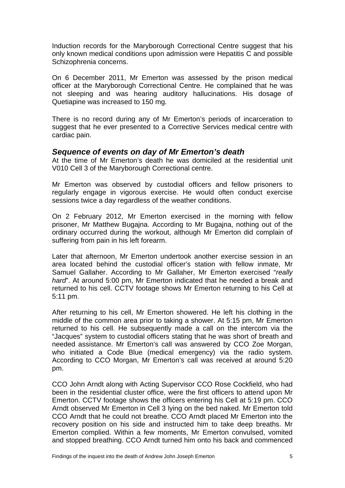Induction records for the Maryborough Correctional Centre suggest that his only known medical conditions upon admission were Hepatitis C and possible Schizophrenia concerns.

On 6 December 2011, Mr Emerton was assessed by the prison medical officer at the Maryborough Correctional Centre. He complained that he was not sleeping and was hearing auditory hallucinations. His dosage of Quetiapine was increased to 150 mg.

There is no record during any of Mr Emerton's periods of incarceration to suggest that he ever presented to a Corrective Services medical centre with cardiac pain.

#### *Sequence of events on day of Mr Emerton's death*

At the time of Mr Emerton's death he was domiciled at the residential unit V010 Cell 3 of the Maryborough Correctional centre.

Mr Emerton was observed by custodial officers and fellow prisoners to regularly engage in vigorous exercise. He would often conduct exercise sessions twice a day regardless of the weather conditions.

On 2 February 2012, Mr Emerton exercised in the morning with fellow prisoner, Mr Matthew Bugajna. According to Mr Bugajna, nothing out of the ordinary occurred during the workout, although Mr Emerton did complain of suffering from pain in his left forearm.

Later that afternoon, Mr Emerton undertook another exercise session in an area located behind the custodial officer's station with fellow inmate, Mr Samuel Gallaher. According to Mr Gallaher, Mr Emerton exercised "*really hard*". At around 5:00 pm, Mr Emerton indicated that he needed a break and returned to his cell. CCTV footage shows Mr Emerton returning to his Cell at 5:11 pm.

After returning to his cell, Mr Emerton showered. He left his clothing in the middle of the common area prior to taking a shower. At 5:15 pm, Mr Emerton returned to his cell. He subsequently made a call on the intercom via the "Jacques" system to custodial officers stating that he was short of breath and needed assistance. Mr Emerton's call was answered by CCO Zoe Morgan, who initiated a Code Blue (medical emergency) via the radio system. According to CCO Morgan, Mr Emerton's call was received at around 5:20 pm.

CCO John Arndt along with Acting Supervisor CCO Rose Cockfield, who had been in the residential cluster office, were the first officers to attend upon Mr Emerton. CCTV footage shows the officers entering his Cell at 5:19 pm. CCO Arndt observed Mr Emerton in Cell 3 lying on the bed naked. Mr Emerton told CCO Arndt that he could not breathe. CCO Arndt placed Mr Emerton into the recovery position on his side and instructed him to take deep breaths. Mr Emerton complied. Within a few moments, Mr Emerton convulsed, vomited and stopped breathing. CCO Arndt turned him onto his back and commenced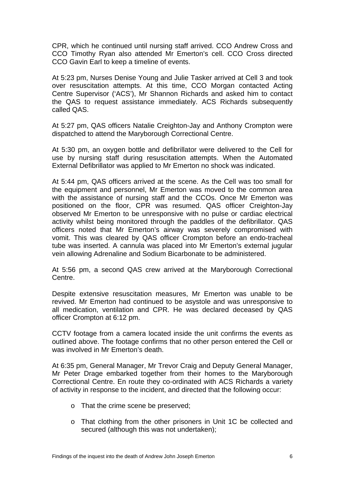CPR, which he continued until nursing staff arrived. CCO Andrew Cross and CCO Timothy Ryan also attended Mr Emerton's cell. CCO Cross directed CCO Gavin Earl to keep a timeline of events.

At 5:23 pm, Nurses Denise Young and Julie Tasker arrived at Cell 3 and took over resuscitation attempts. At this time, CCO Morgan contacted Acting Centre Supervisor ('ACS'), Mr Shannon Richards and asked him to contact the QAS to request assistance immediately. ACS Richards subsequently called QAS.

At 5:27 pm, QAS officers Natalie Creighton-Jay and Anthony Crompton were dispatched to attend the Maryborough Correctional Centre.

At 5:30 pm, an oxygen bottle and defibrillator were delivered to the Cell for use by nursing staff during resuscitation attempts. When the Automated External Defibrillator was applied to Mr Emerton no shock was indicated.

At 5:44 pm, QAS officers arrived at the scene. As the Cell was too small for the equipment and personnel, Mr Emerton was moved to the common area with the assistance of nursing staff and the CCOs. Once Mr Emerton was positioned on the floor, CPR was resumed. QAS officer Creighton-Jay observed Mr Emerton to be unresponsive with no pulse or cardiac electrical activity whilst being monitored through the paddles of the defibrillator. QAS officers noted that Mr Emerton's airway was severely compromised with vomit. This was cleared by QAS officer Crompton before an endo-tracheal tube was inserted. A cannula was placed into Mr Emerton's external jugular vein allowing Adrenaline and Sodium Bicarbonate to be administered.

At 5:56 pm, a second QAS crew arrived at the Maryborough Correctional Centre.

Despite extensive resuscitation measures, Mr Emerton was unable to be revived. Mr Emerton had continued to be asystole and was unresponsive to all medication, ventilation and CPR. He was declared deceased by QAS officer Crompton at 6:12 pm.

CCTV footage from a camera located inside the unit confirms the events as outlined above. The footage confirms that no other person entered the Cell or was involved in Mr Emerton's death.

At 6:35 pm, General Manager, Mr Trevor Craig and Deputy General Manager, Mr Peter Drage embarked together from their homes to the Maryborough Correctional Centre. En route they co-ordinated with ACS Richards a variety of activity in response to the incident, and directed that the following occur:

- o That the crime scene be preserved;
- o That clothing from the other prisoners in Unit 1C be collected and secured (although this was not undertaken);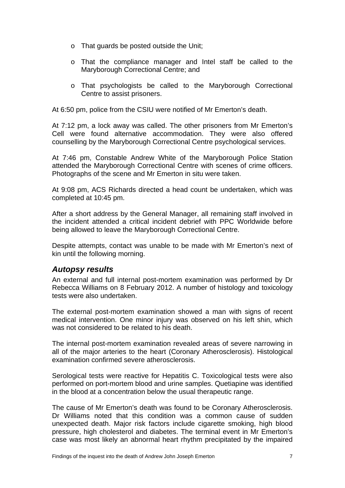- o That guards be posted outside the Unit;
- o That the compliance manager and Intel staff be called to the Maryborough Correctional Centre; and
- o That psychologists be called to the Maryborough Correctional Centre to assist prisoners.

At 6:50 pm, police from the CSIU were notified of Mr Emerton's death.

At 7:12 pm, a lock away was called. The other prisoners from Mr Emerton's Cell were found alternative accommodation. They were also offered counselling by the Maryborough Correctional Centre psychological services.

At 7:46 pm, Constable Andrew White of the Maryborough Police Station attended the Maryborough Correctional Centre with scenes of crime officers. Photographs of the scene and Mr Emerton in situ were taken.

At 9:08 pm, ACS Richards directed a head count be undertaken, which was completed at 10:45 pm.

After a short address by the General Manager, all remaining staff involved in the incident attended a critical incident debrief with PPC Worldwide before being allowed to leave the Maryborough Correctional Centre.

Despite attempts, contact was unable to be made with Mr Emerton's next of kin until the following morning.

#### <span id="page-8-0"></span>*Autopsy results*

An external and full internal post-mortem examination was performed by Dr Rebecca Williams on 8 February 2012. A number of histology and toxicology tests were also undertaken.

The external post-mortem examination showed a man with signs of recent medical intervention. One minor injury was observed on his left shin, which was not considered to be related to his death.

The internal post-mortem examination revealed areas of severe narrowing in all of the major arteries to the heart (Coronary Atherosclerosis). Histological examination confirmed severe atherosclerosis.

Serological tests were reactive for Hepatitis C. Toxicological tests were also performed on port-mortem blood and urine samples. Quetiapine was identified in the blood at a concentration below the usual therapeutic range.

The cause of Mr Emerton's death was found to be Coronary Atherosclerosis. Dr Williams noted that this condition was a common cause of sudden unexpected death. Major risk factors include cigarette smoking, high blood pressure, high cholesterol and diabetes. The terminal event in Mr Emerton's case was most likely an abnormal heart rhythm precipitated by the impaired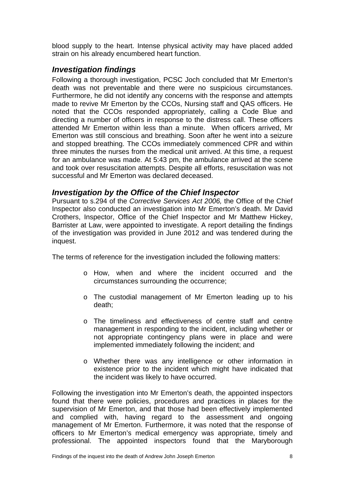blood supply to the heart. Intense physical activity may have placed added strain on his already encumbered heart function.

### <span id="page-9-0"></span>*Investigation findings*

Following a thorough investigation, PCSC Joch concluded that Mr Emerton's death was not preventable and there were no suspicious circumstances. Furthermore, he did not identify any concerns with the response and attempts made to revive Mr Emerton by the CCOs, Nursing staff and QAS officers. He noted that the CCOs responded appropriately, calling a Code Blue and directing a number of officers in response to the distress call. These officers attended Mr Emerton within less than a minute. When officers arrived, Mr Emerton was still conscious and breathing. Soon after he went into a seizure and stopped breathing. The CCOs immediately commenced CPR and within three minutes the nurses from the medical unit arrived. At this time, a request for an ambulance was made. At 5:43 pm, the ambulance arrived at the scene and took over resuscitation attempts. Despite all efforts, resuscitation was not successful and Mr Emerton was declared deceased.

#### *Investigation by the Office of the Chief Inspector*

Pursuant to s.294 of the *Corrective Services Act 2006,* the Office of the Chief Inspector also conducted an investigation into Mr Emerton's death. Mr David Crothers, Inspector, Office of the Chief Inspector and Mr Matthew Hickey, Barrister at Law, were appointed to investigate. A report detailing the findings of the investigation was provided in June 2012 and was tendered during the inquest.

The terms of reference for the investigation included the following matters:

- o How, when and where the incident occurred and the circumstances surrounding the occurrence;
- o The custodial management of Mr Emerton leading up to his death;
- o The timeliness and effectiveness of centre staff and centre management in responding to the incident, including whether or not appropriate contingency plans were in place and were implemented immediately following the incident; and
- o Whether there was any intelligence or other information in existence prior to the incident which might have indicated that the incident was likely to have occurred.

Following the investigation into Mr Emerton's death, the appointed inspectors found that there were policies, procedures and practices in places for the supervision of Mr Emerton, and that those had been effectively implemented and complied with, having regard to the assessment and ongoing management of Mr Emerton. Furthermore, it was noted that the response of officers to Mr Emerton's medical emergency was appropriate, timely and professional. The appointed inspectors found that the Maryborough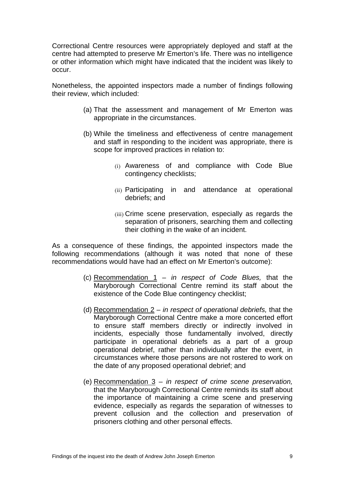Correctional Centre resources were appropriately deployed and staff at the centre had attempted to preserve Mr Emerton's life. There was no intelligence or other information which might have indicated that the incident was likely to occur.

Nonetheless, the appointed inspectors made a number of findings following their review, which included:

- (a) That the assessment and management of Mr Emerton was appropriate in the circumstances.
- (b) While the timeliness and effectiveness of centre management and staff in responding to the incident was appropriate, there is scope for improved practices in relation to:
	- (i) Awareness of and compliance with Code Blue contingency checklists;
	- (ii) Participating in and attendance at operational debriefs; and
	- (iii) Crime scene preservation, especially as regards the separation of prisoners, searching them and collecting their clothing in the wake of an incident.

As a consequence of these findings, the appointed inspectors made the following recommendations (although it was noted that none of these recommendations would have had an effect on Mr Emerton's outcome):

- (c) Recommendation 1 *in respect of Code Blues,* that the Maryborough Correctional Centre remind its staff about the existence of the Code Blue contingency checklist;
- (d) Recommendation 2 *in respect of operational debriefs,* that the Maryborough Correctional Centre make a more concerted effort to ensure staff members directly or indirectly involved in incidents, especially those fundamentally involved, directly participate in operational debriefs as a part of a group operational debrief, rather than individually after the event, in circumstances where those persons are not rostered to work on the date of any proposed operational debrief; and
- (e) Recommendation 3 *in respect of crime scene preservation,*  that the Maryborough Correctional Centre reminds its staff about the importance of maintaining a crime scene and preserving evidence, especially as regards the separation of witnesses to prevent collusion and the collection and preservation of prisoners clothing and other personal effects.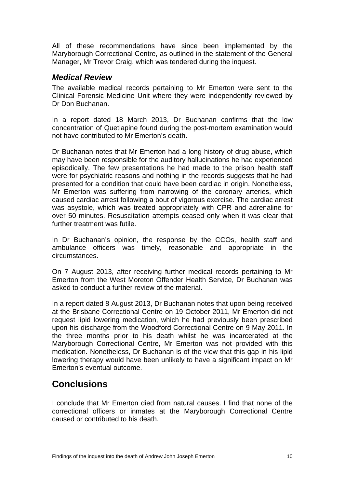All of these recommendations have since been implemented by the Maryborough Correctional Centre, as outlined in the statement of the General Manager, Mr Trevor Craig, which was tendered during the inquest.

#### <span id="page-11-0"></span>*Medical Review*

The available medical records pertaining to Mr Emerton were sent to the Clinical Forensic Medicine Unit where they were independently reviewed by Dr Don Buchanan.

In a report dated 18 March 2013, Dr Buchanan confirms that the low concentration of Quetiapine found during the post-mortem examination would not have contributed to Mr Emerton's death.

Dr Buchanan notes that Mr Emerton had a long history of drug abuse, which may have been responsible for the auditory hallucinations he had experienced episodically. The few presentations he had made to the prison health staff were for psychiatric reasons and nothing in the records suggests that he had presented for a condition that could have been cardiac in origin. Nonetheless, Mr Emerton was suffering from narrowing of the coronary arteries, which caused cardiac arrest following a bout of vigorous exercise. The cardiac arrest was asystole, which was treated appropriately with CPR and adrenaline for over 50 minutes. Resuscitation attempts ceased only when it was clear that further treatment was futile.

In Dr Buchanan's opinion, the response by the CCOs, health staff and ambulance officers was timely, reasonable and appropriate in the circumstances.

On 7 August 2013, after receiving further medical records pertaining to Mr Emerton from the West Moreton Offender Health Service, Dr Buchanan was asked to conduct a further review of the material.

In a report dated 8 August 2013, Dr Buchanan notes that upon being received at the Brisbane Correctional Centre on 19 October 2011, Mr Emerton did not request lipid lowering medication, which he had previously been prescribed upon his discharge from the Woodford Correctional Centre on 9 May 2011. In the three months prior to his death whilst he was incarcerated at the Maryborough Correctional Centre, Mr Emerton was not provided with this medication. Nonetheless, Dr Buchanan is of the view that this gap in his lipid lowering therapy would have been unlikely to have a significant impact on Mr Emerton's eventual outcome.

## <span id="page-11-1"></span>**Conclusions**

I conclude that Mr Emerton died from natural causes. I find that none of the correctional officers or inmates at the Maryborough Correctional Centre caused or contributed to his death.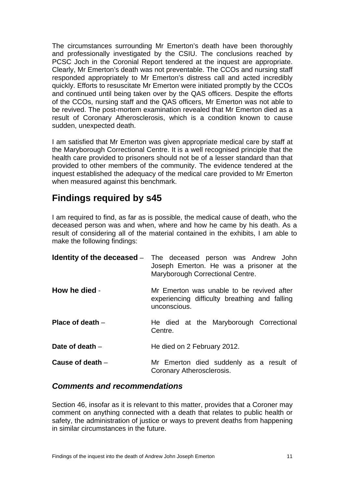The circumstances surrounding Mr Emerton's death have been thoroughly and professionally investigated by the CSIU. The conclusions reached by PCSC Joch in the Coronial Report tendered at the inquest are appropriate. Clearly, Mr Emerton's death was not preventable. The CCOs and nursing staff responded appropriately to Mr Emerton's distress call and acted incredibly quickly. Efforts to resuscitate Mr Emerton were initiated promptly by the CCOs and continued until being taken over by the QAS officers. Despite the efforts of the CCOs, nursing staff and the QAS officers, Mr Emerton was not able to be revived. The post-mortem examination revealed that Mr Emerton died as a result of Coronary Atherosclerosis, which is a condition known to cause sudden, unexpected death.

I am satisfied that Mr Emerton was given appropriate medical care by staff at the Maryborough Correctional Centre. It is a well recognised principle that the health care provided to prisoners should not be of a lesser standard than that provided to other members of the community. The evidence tendered at the inquest established the adequacy of the medical care provided to Mr Emerton when measured against this benchmark.

## <span id="page-12-0"></span>**Findings required by s45**

I am required to find, as far as is possible, the medical cause of death, who the deceased person was and when, where and how he came by his death. As a result of considering all of the material contained in the exhibits, I am able to make the following findings:

<span id="page-12-2"></span><span id="page-12-1"></span>

|                    | <b>Identity of the deceased</b> – The deceased person was Andrew John<br>Joseph Emerton. He was a prisoner at the<br>Maryborough Correctional Centre. |
|--------------------|-------------------------------------------------------------------------------------------------------------------------------------------------------|
| How he died -      | Mr Emerton was unable to be revived after<br>experiencing difficulty breathing and falling<br>unconscious.                                            |
| Place of death $-$ | He died at the Maryborough Correctional<br>Centre.                                                                                                    |
| Date of death $-$  | He died on 2 February 2012.                                                                                                                           |
| Cause of death $-$ | Mr Emerton died suddenly as a result of<br>Coronary Atherosclerosis.                                                                                  |

#### <span id="page-12-6"></span><span id="page-12-5"></span><span id="page-12-4"></span><span id="page-12-3"></span>*Comments and recommendations*

Section 46, insofar as it is relevant to this matter, provides that a Coroner may comment on anything connected with a death that relates to public health or safety, the administration of justice or ways to prevent deaths from happening in similar circumstances in the future.